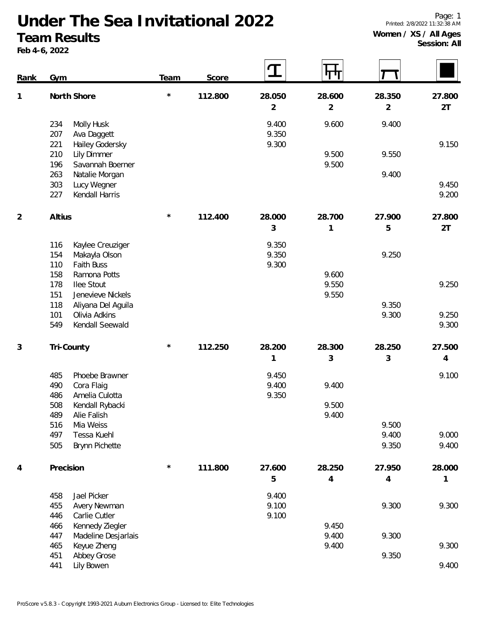Page: 1 Printed: 2/8/2022 11:32:38 AM

## **Women / XS / All Ages Session: All**

## **Under The Sea Invitational 2022 Team Results**

**Feb 4-6, 2022**

| <b>Rank</b> | Gym                                             | Team    | Score   | ${\bf T}$      | पा             |                |        |
|-------------|-------------------------------------------------|---------|---------|----------------|----------------|----------------|--------|
| 1           | North Shore                                     | $\star$ | 112.800 | 28.050         | 28.600         | 28.350         | 27.800 |
|             |                                                 |         |         | $\overline{2}$ | $\overline{2}$ | $\overline{2}$ | 2T     |
|             | 234<br>Molly Husk                               |         |         | 9.400          | 9.600          | 9.400          |        |
|             | 207<br>Ava Daggett                              |         |         | 9.350          |                |                |        |
|             | 221<br>Hailey Godersky                          |         |         | 9.300          |                |                | 9.150  |
|             | 210<br>Lily Dimmer                              |         |         |                | 9.500          | 9.550          |        |
|             | 196<br>Savannah Boerner                         |         |         |                | 9.500          | 9.400          |        |
|             | 263<br>Natalie Morgan<br>303<br>Lucy Wegner     |         |         |                |                |                | 9.450  |
|             | 227<br>Kendall Harris                           |         |         |                |                |                | 9.200  |
|             |                                                 |         |         |                |                |                |        |
| 2           | Altius                                          | $\star$ | 112.400 | 28.000         | 28.700         | 27.900         | 27.800 |
|             |                                                 |         |         | 3              | 1              | 5              | 2T     |
|             |                                                 |         |         |                |                |                |        |
|             | 116<br>Kaylee Creuziger<br>154<br>Makayla Olson |         |         | 9.350<br>9.350 |                | 9.250          |        |
|             | 110<br>Faith Buss                               |         |         | 9.300          |                |                |        |
|             | Ramona Potts<br>158                             |         |         |                | 9.600          |                |        |
|             | 178<br>llee Stout                               |         |         |                | 9.550          |                | 9.250  |
|             | 151<br>Jenevieve Nickels                        |         |         |                | 9.550          |                |        |
|             | 118<br>Aliyana Del Aguila                       |         |         |                |                | 9.350          |        |
|             | 101<br>Olivia Adkins                            |         |         |                |                | 9.300          | 9.250  |
|             | Kendall Seewald<br>549                          |         |         |                |                |                | 9.300  |
| 3           | Tri-County                                      | $\star$ | 112.250 | 28.200         | 28.300         | 28.250         | 27.500 |
|             |                                                 |         |         | 1              | 3              | 3              | 4      |
|             |                                                 |         |         |                |                |                |        |
|             | 485<br>Phoebe Brawner                           |         |         | 9.450          |                |                | 9.100  |
|             | 490<br>Cora Flaig                               |         |         | 9.400          | 9.400          |                |        |
|             | 486<br>Amelia Culotta                           |         |         | 9.350          |                |                |        |
|             | 508<br>Kendall Rybacki<br>489<br>Alie Falish    |         |         |                | 9.500<br>9.400 |                |        |
|             | 516<br>Mia Weiss                                |         |         |                |                | 9.500          |        |
|             | 497<br>Tessa Kuehl                              |         |         |                |                | 9.400          | 9.000  |
|             | 505<br>Brynn Pichette                           |         |         |                |                | 9.350          | 9.400  |
|             |                                                 |         |         |                |                |                |        |
| 4           | Precision                                       | $\star$ | 111.800 | 27.600         | 28.250         | 27.950         | 28.000 |
|             |                                                 |         |         | 5              | 4              | 4              | 1      |
|             | Jael Picker<br>458                              |         |         | 9.400          |                |                |        |
|             | 455<br>Avery Newman                             |         |         | 9.100          |                | 9.300          | 9.300  |
|             | 446<br>Carlie Cutler                            |         |         | 9.100          |                |                |        |
|             | 466<br>Kennedy Ziegler                          |         |         |                | 9.450          |                |        |
|             | 447<br>Madeline Desjarlais                      |         |         |                | 9.400          | 9.300          |        |
|             | 465<br>Keyue Zheng                              |         |         |                | 9.400          |                | 9.300  |
|             | Abbey Grose<br>451                              |         |         |                |                | 9.350          |        |

Lily Bowen 9.400